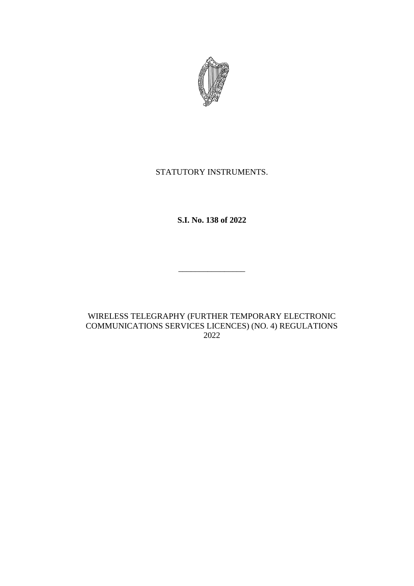

# STATUTORY INSTRUMENTS.

**S.I. No. 138 of 2022**

\_\_\_\_\_\_\_\_\_\_\_\_\_\_\_\_

WIRELESS TELEGRAPHY (FURTHER TEMPORARY ELECTRONIC COMMUNICATIONS SERVICES LICENCES) (NO. 4) REGULATIONS 2022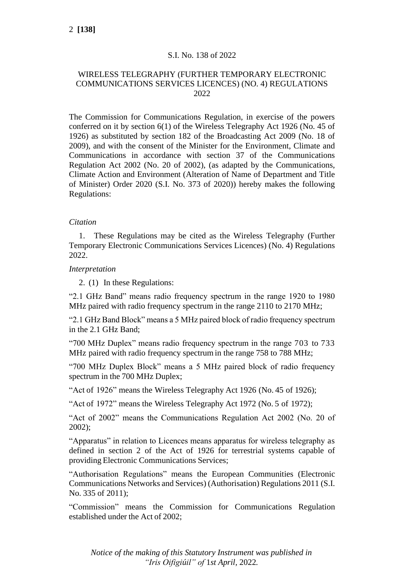# S.I. No. 138 of 2022

## WIRELESS TELEGRAPHY (FURTHER TEMPORARY ELECTRONIC COMMUNICATIONS SERVICES LICENCES) (NO. 4) REGULATIONS 2022

The Commission for Communications Regulation, in exercise of the powers conferred on it by section 6(1) of the Wireless Telegraphy Act 1926 (No. 45 of 1926) as substituted by section 182 of the Broadcasting Act 2009 (No. 18 of 2009), and with the consent of the Minister for the Environment, Climate and Communications in accordance with section 37 of the Communications Regulation Act 2002 (No. 20 of 2002), (as adapted by the Communications, Climate Action and Environment (Alteration of Name of Department and Title of Minister) Order 2020 (S.I. No. 373 of 2020)) hereby makes the following Regulations:

## *Citation*

1. These Regulations may be cited as the Wireless Telegraphy (Further Temporary Electronic Communications Services Licences) (No. 4) Regulations 2022.

### *Interpretation*

2. (1) In these Regulations:

"2.1 GHz Band" means radio frequency spectrum in the range 1920 to 1980 MHz paired with radio frequency spectrum in the range 2110 to 2170 MHz;

"2.1 GHz Band Block" means a 5 MHz paired block of radio frequency spectrum in the 2.1 GHz Band;

"700 MHz Duplex" means radio frequency spectrum in the range 703 to 733 MHz paired with radio frequency spectrum in the range 758 to 788 MHz;

"700 MHz Duplex Block" means a 5 MHz paired block of radio frequency spectrum in the 700 MHz Duplex;

"Act of 1926" means the Wireless Telegraphy Act 1926 (No. 45 of 1926);

"Act of 1972" means the Wireless Telegraphy Act 1972 (No. 5 of 1972);

"Act of 2002" means the Communications Regulation Act 2002 (No. 20 of 2002);

"Apparatus" in relation to Licences means apparatus for wireless telegraphy as defined in section 2 of the Act of 1926 for terrestrial systems capable of providing Electronic Communications Services;

"Authorisation Regulations" means the European Communities (Electronic Communications Networks and Services) (Authorisation) Regulations 2011 (S.I. No. 335 of 2011);

"Commission" means the Commission for Communications Regulation established under the Act of 2002;

*Notice of the making of this Statutory Instrument was published in "Iris Oifigiúil" of* 1*st April,* 2022*.*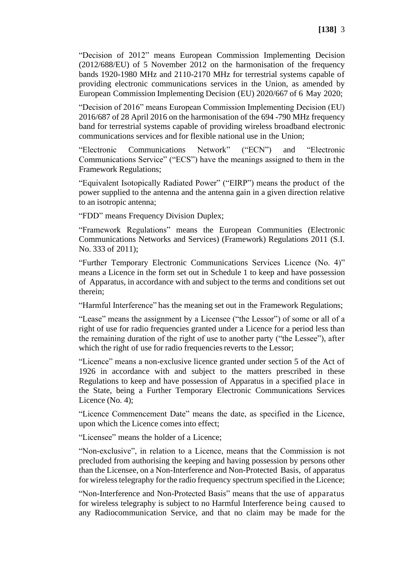"Decision of 2012" means European Commission Implementing Decision (2012/688/EU) of 5 November 2012 on the harmonisation of the frequency bands 1920-1980 MHz and 2110-2170 MHz for terrestrial systems capable of providing electronic communications services in the Union, as amended by European Commission Implementing Decision (EU) 2020/667 of 6 May 2020;

"Decision of 2016" means European Commission Implementing Decision (EU) 2016/687 of 28 April 2016 on the harmonisation of the 694 -790 MHz frequency band for terrestrial systems capable of providing wireless broadband electronic communications services and for flexible national use in the Union;

"Electronic Communications Network" ("ECN") and "Electronic Communications Service" ("ECS") have the meanings assigned to them in the Framework Regulations;

"Equivalent Isotopically Radiated Power" ("EIRP") means the product of the power supplied to the antenna and the antenna gain in a given direction relative to an isotropic antenna;

"FDD" means Frequency Division Duplex;

"Framework Regulations" means the European Communities (Electronic Communications Networks and Services) (Framework) Regulations 2011 (S.I. No. 333 of 2011);

"Further Temporary Electronic Communications Services Licence (No. 4)" means a Licence in the form set out in Schedule 1 to keep and have possession of Apparatus, in accordance with and subject to the terms and conditions set out therein;

"Harmful Interference" has the meaning set out in the Framework Regulations;

"Lease" means the assignment by a Licensee ("the Lessor") of some or all of a right of use for radio frequencies granted under a Licence for a period less than the remaining duration of the right of use to another party ("the Lessee"), after which the right of use for radio frequencies reverts to the Lessor;

"Licence" means a non-exclusive licence granted under section 5 of the Act of 1926 in accordance with and subject to the matters prescribed in these Regulations to keep and have possession of Apparatus in a specified place in the State, being a Further Temporary Electronic Communications Services Licence (No. 4);

"Licence Commencement Date" means the date, as specified in the Licence, upon which the Licence comes into effect;

"Licensee" means the holder of a Licence;

"Non-exclusive", in relation to a Licence, means that the Commission is not precluded from authorising the keeping and having possession by persons other than the Licensee, on a Non-Interference and Non-Protected Basis, of apparatus for wireless telegraphy for the radio frequency spectrum specified in the Licence;

"Non-Interference and Non-Protected Basis" means that the use of apparatus for wireless telegraphy is subject to no Harmful Interference being caused to any Radiocommunication Service, and that no claim may be made for the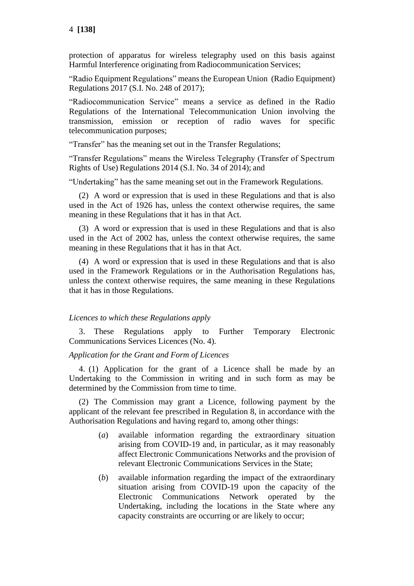protection of apparatus for wireless telegraphy used on this basis against Harmful Interference originating from Radiocommunication Services;

"Radio Equipment Regulations" means the European Union (Radio Equipment) Regulations 2017 (S.I. No. 248 of 2017);

"Radiocommunication Service" means a service as defined in the Radio Regulations of the International Telecommunication Union involving the transmission, emission or reception of radio waves for specific telecommunication purposes;

"Transfer" has the meaning set out in the Transfer Regulations;

"Transfer Regulations" means the Wireless Telegraphy (Transfer of Spectrum Rights of Use) Regulations 2014 (S.I. No. 34 of 2014); and

"Undertaking" has the same meaning set out in the Framework Regulations.

(2) A word or expression that is used in these Regulations and that is also used in the Act of 1926 has, unless the context otherwise requires, the same meaning in these Regulations that it has in that Act.

(3) A word or expression that is used in these Regulations and that is also used in the Act of 2002 has, unless the context otherwise requires, the same meaning in these Regulations that it has in that Act.

(4) A word or expression that is used in these Regulations and that is also used in the Framework Regulations or in the Authorisation Regulations has, unless the context otherwise requires, the same meaning in these Regulations that it has in those Regulations.

### *Licences to which these Regulations apply*

3. These Regulations apply to Further Temporary Electronic Communications Services Licences (No. 4).

### *Application for the Grant and Form of Licences*

4. (1) Application for the grant of a Licence shall be made by an Undertaking to the Commission in writing and in such form as may be determined by the Commission from time to time.

(2) The Commission may grant a Licence, following payment by the applicant of the relevant fee prescribed in Regulation 8, in accordance with the Authorisation Regulations and having regard to, among other things:

- (*a*) available information regarding the extraordinary situation arising from COVID-19 and, in particular, as it may reasonably affect Electronic Communications Networks and the provision of relevant Electronic Communications Services in the State;
- (*b*) available information regarding the impact of the extraordinary situation arising from COVID-19 upon the capacity of the Electronic Communications Network operated by the Undertaking, including the locations in the State where any capacity constraints are occurring or are likely to occur;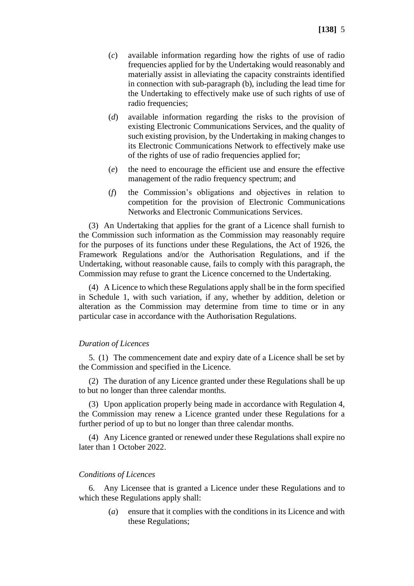- (*c*) available information regarding how the rights of use of radio frequencies applied for by the Undertaking would reasonably and materially assist in alleviating the capacity constraints identified in connection with sub-paragraph (b), including the lead time for the Undertaking to effectively make use of such rights of use of radio frequencies;
- (*d*) available information regarding the risks to the provision of existing Electronic Communications Services, and the quality of such existing provision, by the Undertaking in making changes to its Electronic Communications Network to effectively make use of the rights of use of radio frequencies applied for;
- (*e*) the need to encourage the efficient use and ensure the effective management of the radio frequency spectrum; and
- (*f*) the Commission's obligations and objectives in relation to competition for the provision of Electronic Communications Networks and Electronic Communications Services.

(3) An Undertaking that applies for the grant of a Licence shall furnish to the Commission such information as the Commission may reasonably require for the purposes of its functions under these Regulations, the Act of 1926, the Framework Regulations and/or the Authorisation Regulations, and if the Undertaking, without reasonable cause, fails to comply with this paragraph, the Commission may refuse to grant the Licence concerned to the Undertaking.

(4) A Licence to which these Regulations apply shall be in the form specified in Schedule 1, with such variation, if any, whether by addition, deletion or alteration as the Commission may determine from time to time or in any particular case in accordance with the Authorisation Regulations.

#### *Duration of Licences*

5. (1) The commencement date and expiry date of a Licence shall be set by the Commission and specified in the Licence.

(2) The duration of any Licence granted under these Regulations shall be up to but no longer than three calendar months.

(3) Upon application properly being made in accordance with Regulation 4, the Commission may renew a Licence granted under these Regulations for a further period of up to but no longer than three calendar months.

(4) Any Licence granted or renewed under these Regulations shall expire no later than 1 October 2022.

#### *Conditions of Licences*

6. Any Licensee that is granted a Licence under these Regulations and to which these Regulations apply shall:

> (*a*) ensure that it complies with the conditions in its Licence and with these Regulations;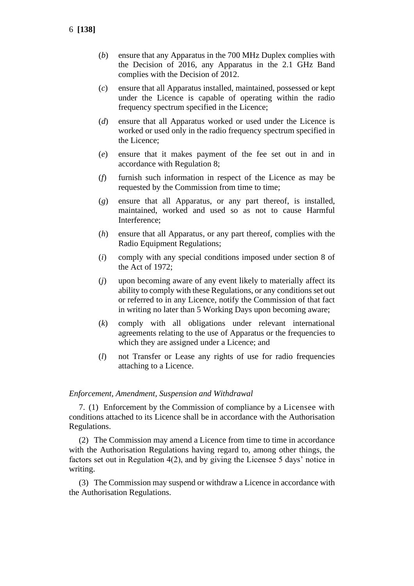- (*b*) ensure that any Apparatus in the 700 MHz Duplex complies with the Decision of 2016, any Apparatus in the 2.1 GHz Band complies with the Decision of 2012.
- (*c*) ensure that all Apparatus installed, maintained, possessed or kept under the Licence is capable of operating within the radio frequency spectrum specified in the Licence;
- (*d*) ensure that all Apparatus worked or used under the Licence is worked or used only in the radio frequency spectrum specified in the Licence;
- (*e*) ensure that it makes payment of the fee set out in and in accordance with Regulation 8;
- (*f*) furnish such information in respect of the Licence as may be requested by the Commission from time to time;
- (*g*) ensure that all Apparatus, or any part thereof, is installed, maintained, worked and used so as not to cause Harmful Interference;
- (*h*) ensure that all Apparatus, or any part thereof, complies with the Radio Equipment Regulations;
- (*i*) comply with any special conditions imposed under section 8 of the Act of 1972;
- (*j*) upon becoming aware of any event likely to materially affect its ability to comply with these Regulations, or any conditions set out or referred to in any Licence, notify the Commission of that fact in writing no later than 5 Working Days upon becoming aware;
- (*k*) comply with all obligations under relevant international agreements relating to the use of Apparatus or the frequencies to which they are assigned under a Licence; and
- (*l*) not Transfer or Lease any rights of use for radio frequencies attaching to a Licence.

### *Enforcement, Amendment, Suspension and Withdrawal*

7. (1) Enforcement by the Commission of compliance by a Licensee with conditions attached to its Licence shall be in accordance with the Authorisation Regulations.

(2) The Commission may amend a Licence from time to time in accordance with the Authorisation Regulations having regard to, among other things, the factors set out in Regulation 4(2), and by giving the Licensee 5 days' notice in writing.

(3) The Commission may suspend or withdraw a Licence in accordance with the Authorisation Regulations.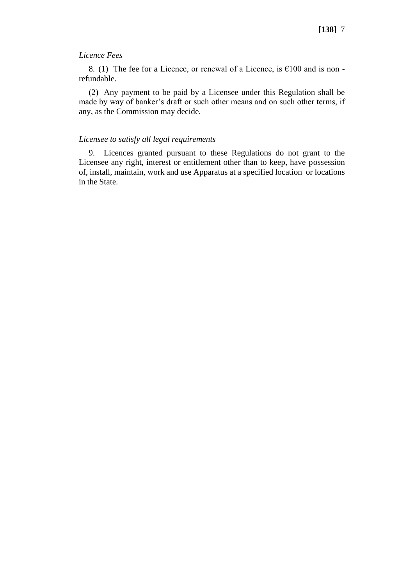### *Licence Fees*

8. (1) The fee for a Licence, or renewal of a Licence, is  $£100$  and is non refundable.

(2) Any payment to be paid by a Licensee under this Regulation shall be made by way of banker's draft or such other means and on such other terms, if any, as the Commission may decide.

### *Licensee to satisfy all legal requirements*

9. Licences granted pursuant to these Regulations do not grant to the Licensee any right, interest or entitlement other than to keep, have possession of, install, maintain, work and use Apparatus at a specified location or locations in the State.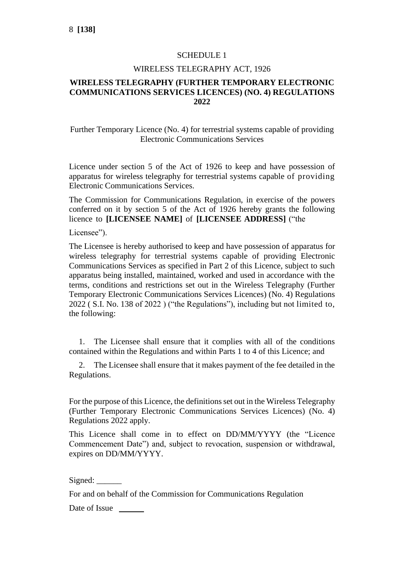# SCHEDULE 1

## WIRELESS TELEGRAPHY ACT, 1926

# **WIRELESS TELEGRAPHY (FURTHER TEMPORARY ELECTRONIC COMMUNICATIONS SERVICES LICENCES) (NO. 4) REGULATIONS 2022**

Further Temporary Licence (No. 4) for terrestrial systems capable of providing Electronic Communications Services

Licence under section 5 of the Act of 1926 to keep and have possession of apparatus for wireless telegraphy for terrestrial systems capable of providing Electronic Communications Services.

The Commission for Communications Regulation, in exercise of the powers conferred on it by section 5 of the Act of 1926 hereby grants the following licence to **[LICENSEE NAME]** of **[LICENSEE ADDRESS]** ("the

Licensee").

The Licensee is hereby authorised to keep and have possession of apparatus for wireless telegraphy for terrestrial systems capable of providing Electronic Communications Services as specified in Part 2 of this Licence, subject to such apparatus being installed, maintained, worked and used in accordance with the terms, conditions and restrictions set out in the Wireless Telegraphy (Further Temporary Electronic Communications Services Licences) (No. 4) Regulations 2022 ( S.I. No. 138 of 2022 ) ("the Regulations"), including but not limited to, the following:

1. The Licensee shall ensure that it complies with all of the conditions contained within the Regulations and within Parts 1 to 4 of this Licence; and

2. The Licensee shall ensure that it makes payment of the fee detailed in the Regulations.

For the purpose of this Licence, the definitions set out in the Wireless Telegraphy (Further Temporary Electronic Communications Services Licences) (No. 4) Regulations 2022 apply.

This Licence shall come in to effect on DD/MM/YYYY (the "Licence Commencement Date") and, subject to revocation, suspension or withdrawal, expires on DD/MM/YYYY.

Signed:

For and on behalf of the Commission for Communications Regulation

Date of Issue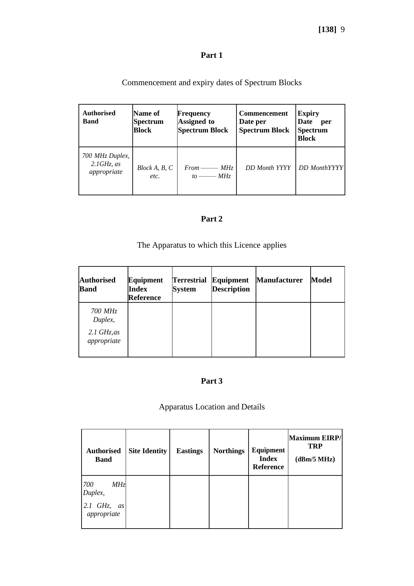# **[138]** 9

# **Part 1**

| Commencement and expiry dates of Spectrum Blocks |  |
|--------------------------------------------------|--|
|--------------------------------------------------|--|

| <b>Authorised</b><br><b>Band</b>                | Name of<br><b>Spectrum</b><br><b>Block</b> | Frequency<br>Assigned to<br><b>Spectrum Block</b> | Commencement<br>Date per<br><b>Spectrum Block</b> | <b>Expiry</b><br>Date<br>per<br><b>Spectrum</b><br><b>Block</b> |
|-------------------------------------------------|--------------------------------------------|---------------------------------------------------|---------------------------------------------------|-----------------------------------------------------------------|
| 700 MHz Duplex,<br>$2.1GHz$ , as<br>appropriate | Block A, B, C<br>etc.                      | $From \_\_\_MHz$<br>$to$ $-MHz$                   | <b>DD</b> Month YYYY                              | <b>DD</b> MonthYYYY                                             |

# **Part 2**

# The Apparatus to which this Licence applies

| <b>Authorised</b><br><b>Band</b>                            | Equipment<br>Index<br>Reference | <b>Terrestrial</b><br><b>System</b> | Equipment<br><b>Description</b> | <b>Manufacturer</b> | Model |
|-------------------------------------------------------------|---------------------------------|-------------------------------------|---------------------------------|---------------------|-------|
| 700 MHz<br>Duplex,<br>$2.1 \text{ GHz}$ , as<br>appropriate |                                 |                                     |                                 |                     |       |

# **Part 3**

# Apparatus Location and Details

| <b>Authorised</b><br><b>Band</b>                         | <b>Site Identity</b> | <b>Eastings</b> | <b>Northings</b> | Equipment<br><b>Index</b><br><b>Reference</b> | Maximum EIRP/<br><b>TRP</b><br>(dBm/5 MHz) |
|----------------------------------------------------------|----------------------|-----------------|------------------|-----------------------------------------------|--------------------------------------------|
| 700<br>MHz<br>Duplex,<br>$2.1$ GHz,<br>as<br>appropriate |                      |                 |                  |                                               |                                            |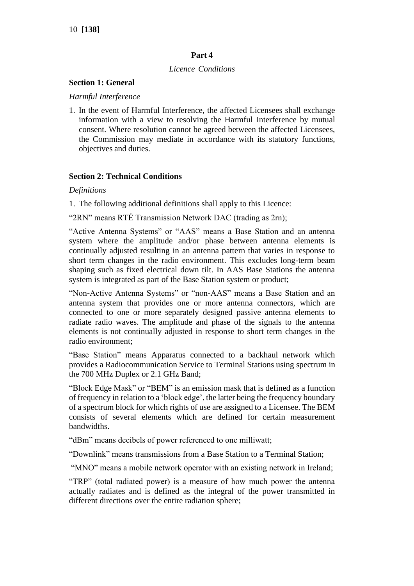# **Part 4**

## *Licence Conditions*

### **Section 1: General**

### *Harmful Interference*

1. In the event of Harmful Interference, the affected Licensees shall exchange information with a view to resolving the Harmful Interference by mutual consent. Where resolution cannot be agreed between the affected Licensees, the Commission may mediate in accordance with its statutory functions, objectives and duties.

## **Section 2: Technical Conditions**

### *Definitions*

1. The following additional definitions shall apply to this Licence:

"2RN" means RTÉ Transmission Network DAC (trading as 2rn);

"Active Antenna Systems" or "AAS" means a Base Station and an antenna system where the amplitude and/or phase between antenna elements is continually adjusted resulting in an antenna pattern that varies in response to short term changes in the radio environment. This excludes long-term beam shaping such as fixed electrical down tilt. In AAS Base Stations the antenna system is integrated as part of the Base Station system or product;

"Non-Active Antenna Systems" or "non-AAS" means a Base Station and an antenna system that provides one or more antenna connectors, which are connected to one or more separately designed passive antenna elements to radiate radio waves. The amplitude and phase of the signals to the antenna elements is not continually adjusted in response to short term changes in the radio environment;

"Base Station" means Apparatus connected to a backhaul network which provides a Radiocommunication Service to Terminal Stations using spectrum in the 700 MHz Duplex or 2.1 GHz Band;

"Block Edge Mask" or "BEM" is an emission mask that is defined as a function of frequency in relation to a 'block edge', the latter being the frequency boundary of a spectrum block for which rights of use are assigned to a Licensee. The BEM consists of several elements which are defined for certain measurement bandwidths.

"dBm" means decibels of power referenced to one milliwatt;

"Downlink" means transmissions from a Base Station to a Terminal Station;

"MNO" means a mobile network operator with an existing network in Ireland;

"TRP" (total radiated power) is a measure of how much power the antenna actually radiates and is defined as the integral of the power transmitted in different directions over the entire radiation sphere;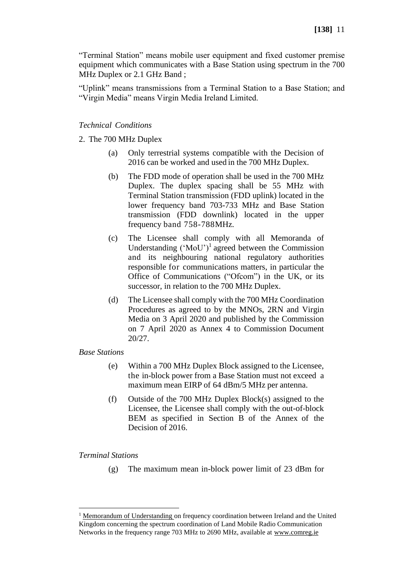"Terminal Station" means mobile user equipment and fixed customer premise equipment which communicates with a Base Station using spectrum in the 700 MHz Duplex or 2.1 GHz Band ;

"Uplink" means transmissions from a Terminal Station to a Base Station; and "Virgin Media" means Virgin Media Ireland Limited.

## *Technical Conditions*

2. The 700 MHz Duplex

- (a) Only terrestrial systems compatible with the Decision of 2016 can be worked and used in the 700 MHz Duplex.
- (b) The FDD mode of operation shall be used in the 700 MHz Duplex. The duplex spacing shall be 55 MHz with Terminal Station transmission (FDD uplink) located in the lower frequency band 703-733 MHz and Base Station transmission (FDD downlink) located in the upper frequency band 758-788MHz.
- (c) The Licensee shall comply with all Memoranda of Understanding  $(MoU')<sup>1</sup>$  agreed between the Commission and its neighbouring national regulatory authorities responsible for communications matters, in particular the Office of Communications ("Ofcom") in the UK, or its successor, in relation to the 700 MHz Duplex.
- (d) The Licensee shall comply with the 700 MHz Coordination Procedures as agreed to by the MNOs, 2RN and Virgin Media on 3 April 2020 and published by the Commission on 7 April 2020 as Annex 4 to Commission Document 20/27.

### *Base Stations*

- (e) Within a 700 MHz Duplex Block assigned to the Licensee, the in-block power from a Base Station must not exceed a maximum mean EIRP of 64 dBm/5 MHz per antenna.
- (f) Outside of the 700 MHz Duplex Block(s) assigned to the Licensee, the Licensee shall comply with the out-of-block BEM as specified in Section B of the Annex of the Decision of 2016.

### *Terminal Stations*

(g) The maximum mean in-block power limit of 23 dBm for

 $1$  [Memorandum of Understanding o](https://www.comreg.ie/industry/licensing/international-spectrum-coordination/)n frequency coordination between Ireland and the United Kingdom concerning the spectrum coordination of Land Mobile Radio Communication Networks in the frequency range 703 MHz to 2690 MHz, available at [www.comreg.ie](http://www.comreg.ie/)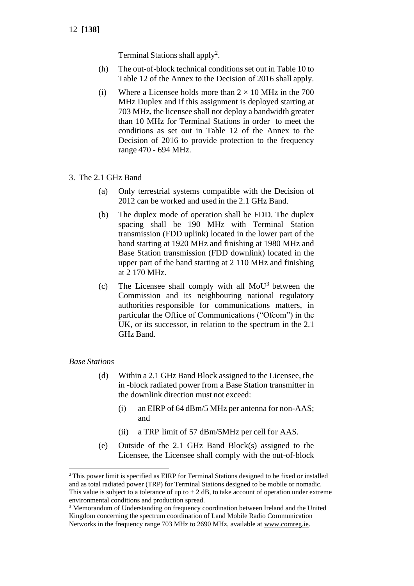Terminal Stations shall apply<sup>2</sup>.

- (h) The out-of-block technical conditions set out in Table 10 to Table 12 of the Annex to the Decision of 2016 shall apply.
- (i) Where a Licensee holds more than  $2 \times 10$  MHz in the 700 MHz Duplex and if this assignment is deployed starting at 703 MHz, the licensee shall not deploy a bandwidth greater than 10 MHz for Terminal Stations in order to meet the conditions as set out in Table 12 of the Annex to the Decision of 2016 to provide protection to the frequency range 470 - 694 MHz.
- 3. The 2.1 GHz Band
	- (a) Only terrestrial systems compatible with the Decision of 2012 can be worked and used in the 2.1 GHz Band.
	- (b) The duplex mode of operation shall be FDD. The duplex spacing shall be 190 MHz with Terminal Station transmission (FDD uplink) located in the lower part of the band starting at 1920 MHz and finishing at 1980 MHz and Base Station transmission (FDD downlink) located in the upper part of the band starting at 2 110 MHz and finishing at 2 170 MHz.
	- (c) The Licensee shall comply with all  $MoU<sup>3</sup>$  between the Commission and its neighbouring national regulatory authorities responsible for communications matters, in particular the Office of Communications ("Ofcom") in the UK, or its successor, in relation to the spectrum in the 2.1 GHz Band.

## *Base Stations*

- (d) Within a 2.1 GHz Band Block assigned to the Licensee, the in -block radiated power from a Base Station transmitter in the downlink direction must not exceed:
	- (i) an EIRP of 64 dBm/5 MHz per antenna for non-AAS; and
	- (ii) a TRP limit of 57 dBm/5MHz per cell for AAS.
- (e) Outside of the 2.1 GHz Band Block(s) assigned to the Licensee, the Licensee shall comply with the out-of-block

<sup>&</sup>lt;sup>2</sup> This power limit is specified as EIRP for Terminal Stations designed to be fixed or installed and as total radiated power (TRP) for Terminal Stations designed to be mobile or nomadic. This value is subject to a tolerance of up to  $+ 2$  dB, to take account of operation under extreme environmental conditions and production spread.

<sup>&</sup>lt;sup>3</sup> Memorandum of Understanding on frequency coordination between Ireland and the United Kingdom concerning the spectrum coordination of Land Mobile Radio Communication Networks in the frequency range 703 MHz to 2690 MHz, available at [www.comreg.ie.](http://www.comreg.ie/)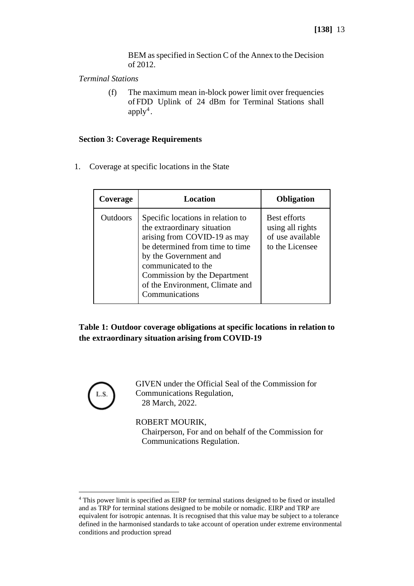BEM as specified in Section C of the Annex to the Decision of 2012.

*Terminal Stations*

(f) The maximum mean in-block power limit over frequencies of FDD Uplink of 24 dBm for Terminal Stations shall  $apply<sup>4</sup>$ .

### **Section 3: Coverage Requirements**

1. Coverage at specific locations in the State

| Coverage        | Location                                                                                                                                                                                                                                                                 | <b>Obligation</b>                                                              |
|-----------------|--------------------------------------------------------------------------------------------------------------------------------------------------------------------------------------------------------------------------------------------------------------------------|--------------------------------------------------------------------------------|
| <b>Outdoors</b> | Specific locations in relation to<br>the extraordinary situation<br>arising from COVID-19 as may<br>be determined from time to time<br>by the Government and<br>communicated to the<br>Commission by the Department<br>of the Environment, Climate and<br>Communications | <b>Best efforts</b><br>using all rights<br>of use available<br>to the Licensee |

**Table 1: Outdoor coverage obligations at specific locations in relation to the extraordinary situation arising from COVID-19**



GIVEN under the Official Seal of the Commission for Communications Regulation, 28 March, 2022.

ROBERT MOURIK,

Chairperson, For and on behalf of the Commission for Communications Regulation.

<sup>4</sup> This power limit is specified as EIRP for terminal stations designed to be fixed or installed and as TRP for terminal stations designed to be mobile or nomadic. EIRP and TRP are equivalent for isotropic antennas. It is recognised that this value may be subject to a tolerance defined in the harmonised standards to take account of operation under extreme environmental conditions and production spread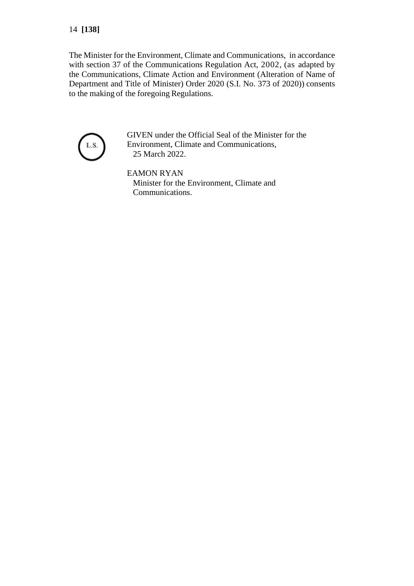The Minister for the Environment, Climate and Communications, in accordance with section 37 of the Communications Regulation Act, 2002, (as adapted by the Communications, Climate Action and Environment (Alteration of Name of Department and Title of Minister) Order 2020 (S.I. No. 373 of 2020)) consents to the making of the foregoing Regulations.



GIVEN under the Official Seal of the Minister for the Environment, Climate and Communications, 25 March 2022.

EAMON RYAN Minister for the Environment, Climate and Communications.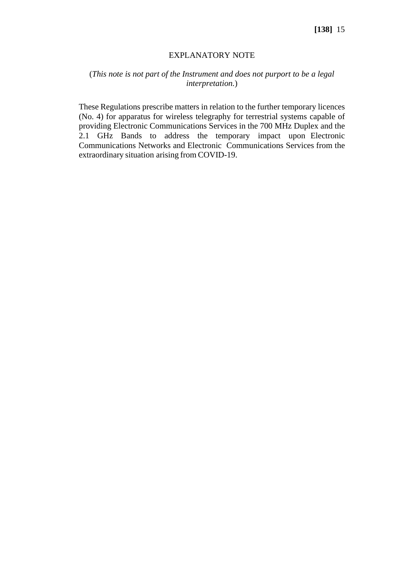### EXPLANATORY NOTE

# (*This note is not part of the Instrument and does not purport to be a legal interpretation.*)

These Regulations prescribe matters in relation to the further temporary licences (No. 4) for apparatus for wireless telegraphy for terrestrial systems capable of providing Electronic Communications Services in the 700 MHz Duplex and the 2.1 GHz Bands to address the temporary impact upon Electronic Communications Networks and Electronic Communications Services from the extraordinary situation arising from COVID-19.